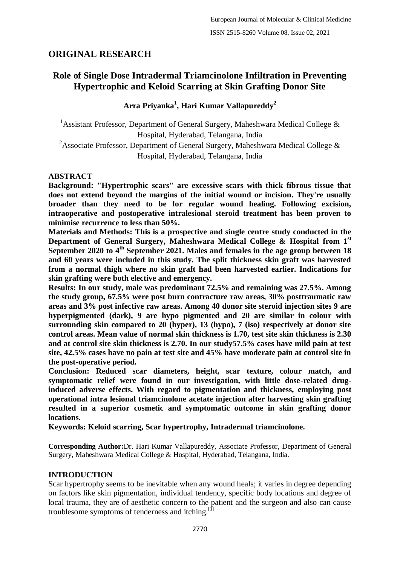# **ORIGINAL RESEARCH**

# **Role of Single Dose Intradermal Triamcinolone Infiltration in Preventing Hypertrophic and Keloid Scarring at Skin Grafting Donor Site**

# **Arra Priyanka<sup>1</sup> , Hari Kumar Vallapureddy<sup>2</sup>**

<sup>1</sup> Assistant Professor, Department of General Surgery, Maheshwara Medical College  $\&$ Hospital, Hyderabad, Telangana, India

<sup>2</sup>Associate Professor, Department of General Surgery, Maheshwara Medical College & Hospital, Hyderabad, Telangana, India

## **ABSTRACT**

**Background: "Hypertrophic scars" are excessive scars with thick fibrous tissue that does not extend beyond the margins of the initial wound or incision. They're usually broader than they need to be for regular wound healing. Following excision, intraoperative and postoperative intralesional steroid treatment has been proven to minimise recurrence to less than 50%.**

**Materials and Methods: This is a prospective and single centre study conducted in the Department of General Surgery, Maheshwara Medical College & Hospital from 1st September 2020 to 4th September 2021. Males and females in the age group between 18 and 60 years were included in this study. The split thickness skin graft was harvested from a normal thigh where no skin graft had been harvested earlier. Indications for skin grafting were both elective and emergency.**

**Results: In our study, male was predominant 72.5% and remaining was 27.5%. Among the study group, 67.5% were post burn contracture raw areas, 30% posttraumatic raw areas and 3% post infective raw areas. Among 40 donor site steroid injection sites 9 are hyperpigmented (dark), 9 are hypo pigmented and 20 are similar in colour with surrounding skin compared to 20 (hyper), 13 (hypo), 7 (iso) respectively at donor site control areas. Mean value of normal skin thickness is 1.70, test site skin thickness is 2.30 and at control site skin thickness is 2.70. In our study57.5% cases have mild pain at test site, 42.5% cases have no pain at test site and 45% have moderate pain at control site in the post-operative period.**

**Conclusion: Reduced scar diameters, height, scar texture, colour match, and symptomatic relief were found in our investigation, with little dose-related druginduced adverse effects. With regard to pigmentation and thickness, employing post operational intra lesional triamcinolone acetate injection after harvesting skin grafting resulted in a superior cosmetic and symptomatic outcome in skin grafting donor locations.**

**Keywords: Keloid scarring, Scar hypertrophy, Intradermal triamcinolone.**

**Corresponding Author:**Dr. Hari Kumar Vallapureddy, Associate Professor, Department of General Surgery, Maheshwara Medical College & Hospital, Hyderabad, Telangana, India.

# **INTRODUCTION**

Scar hypertrophy seems to be inevitable when any wound heals; it varies in degree depending on factors like skin pigmentation, individual tendency, specific body locations and degree of local trauma, they are of aesthetic concern to the patient and the surgeon and also can cause troublesome symptoms of tenderness and itching.<sup>[1]</sup>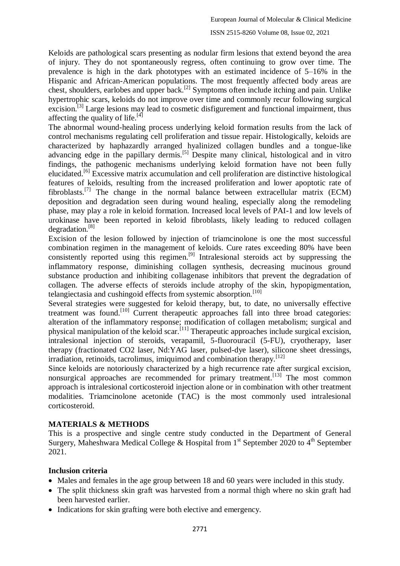Keloids are pathological scars presenting as nodular firm lesions that extend beyond the area of injury. They do not spontaneously regress, often continuing to grow over time. The prevalence is high in the dark phototypes with an estimated incidence of 5–16% in the Hispanic and African-American populations. The most frequently affected body areas are chest, shoulders, earlobes and upper back.[2] Symptoms often include itching and pain. Unlike hypertrophic scars, keloids do not improve over time and commonly recur following surgical excision.<sup>[3]</sup> Large lesions may lead to cosmetic disfigurement and functional impairment, thus affecting the quality of life.<sup>[4]</sup>

The abnormal wound-healing process underlying keloid formation results from the lack of control mechanisms regulating cell proliferation and tissue repair. Histologically, keloids are characterized by haphazardly arranged hyalinized collagen bundles and a tongue-like advancing edge in the papillary dermis.<sup>[5]</sup> Despite many clinical, histological and in vitro findings, the pathogenic mechanisms underlying keloid formation have not been fully elucidated.[6] Excessive matrix accumulation and cell proliferation are distinctive histological features of keloids, resulting from the increased proliferation and lower apoptotic rate of fibroblasts.<sup>[7]</sup> The change in the normal balance between extracellular matrix (ECM) deposition and degradation seen during wound healing, especially along the remodeling phase, may play a role in keloid formation. Increased local levels of PAI-1 and low levels of urokinase have been reported in keloid fibroblasts, likely leading to reduced collagen degradation.[8]

Excision of the lesion followed by injection of triamcinolone is one the most successful combination regimen in the management of keloids. Cure rates exceeding 80% have been consistently reported using this regimen.<sup>[9]</sup> Intralesional steroids act by suppressing the inflammatory response, diminishing collagen synthesis, decreasing mucinous ground substance production and inhibiting collagenase inhibitors that prevent the degradation of collagen. The adverse effects of steroids include atrophy of the skin, hypopigmentation, telangiectasia and cushingoid effects from systemic absorption.<sup>[10]</sup>

Several strategies were suggested for keloid therapy, but, to date, no universally effective treatment was found.<sup>[10]</sup> Current therapeutic approaches fall into three broad categories: alteration of the inflammatory response; modification of collagen metabolism; surgical and physical manipulation of the keloid scar.<sup>[11]</sup> Therapeutic approaches include surgical excision, intralesional injection of steroids, verapamil, 5-fluorouracil (5-FU), cryotherapy, laser therapy (fractionated CO2 laser, Nd:YAG laser, pulsed-dye laser), silicone sheet dressings, irradiation, retinoids, tacrolimus, imiquimod and combination therapy.[12]

Since keloids are notoriously characterized by a high recurrence rate after surgical excision, nonsurgical approaches are recommended for primary treatment.<sup>[13]</sup> The most common approach is intralesional corticosteroid injection alone or in combination with other treatment modalities. Triamcinolone acetonide (TAC) is the most commonly used intralesional corticosteroid.

# **MATERIALS & METHODS**

This is a prospective and single centre study conducted in the Department of General Surgery, Maheshwara Medical College & Hospital from  $1<sup>st</sup>$  September 2020 to  $4<sup>th</sup>$  September 2021.

## **Inclusion criteria**

- Males and females in the age group between 18 and 60 years were included in this study.
- The split thickness skin graft was harvested from a normal thigh where no skin graft had been harvested earlier.
- Indications for skin grafting were both elective and emergency.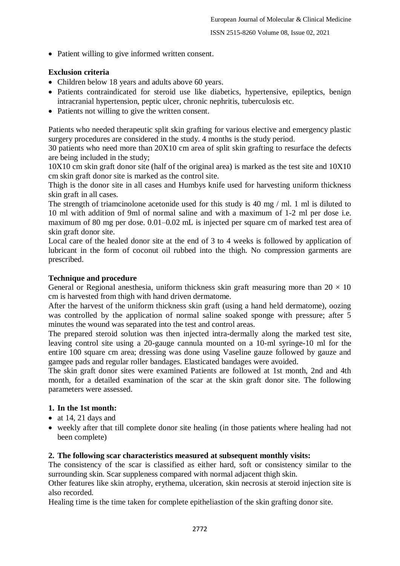• Patient willing to give informed written consent.

## **Exclusion criteria**

- Children below 18 years and adults above 60 years.
- Patients contraindicated for steroid use like diabetics, hypertensive, epileptics, benign intracranial hypertension, peptic ulcer, chronic nephritis, tuberculosis etc.
- Patients not willing to give the written consent.

Patients who needed therapeutic split skin grafting for various elective and emergency plastic surgery procedures are considered in the study. 4 months is the study period.

30 patients who need more than 20X10 cm area of split skin grafting to resurface the defects are being included in the study;

10X10 cm skin graft donor site (half of the original area) is marked as the test site and 10X10 cm skin graft donor site is marked as the control site.

Thigh is the donor site in all cases and Humbys knife used for harvesting uniform thickness skin graft in all cases.

The strength of triamcinolone acetonide used for this study is 40 mg / ml. 1 ml is diluted to 10 ml with addition of 9ml of normal saline and with a maximum of 1-2 ml per dose i.e. maximum of 80 mg per dose. 0.01–0.02 mL is injected per square cm of marked test area of skin graft donor site.

Local care of the healed donor site at the end of 3 to 4 weeks is followed by application of lubricant in the form of coconut oil rubbed into the thigh. No compression garments are prescribed.

## **Technique and procedure**

General or Regional anesthesia, uniform thickness skin graft measuring more than  $20 \times 10$ cm is harvested from thigh with hand driven dermatome.

After the harvest of the uniform thickness skin graft (using a hand held dermatome), oozing was controlled by the application of normal saline soaked sponge with pressure; after 5 minutes the wound was separated into the test and control areas.

The prepared steroid solution was then injected intra-dermally along the marked test site, leaving control site using a 20-gauge cannula mounted on a 10-ml syringe-10 ml for the entire 100 square cm area; dressing was done using Vaseline gauze followed by gauze and gamgee pads and regular roller bandages. Elasticated bandages were avoided.

The skin graft donor sites were examined Patients are followed at 1st month, 2nd and 4th month, for a detailed examination of the scar at the skin graft donor site. The following parameters were assessed.

## **1. In the 1st month:**

- at 14, 21 days and
- weekly after that till complete donor site healing (in those patients where healing had not been complete)

## **2. The following scar characteristics measured at subsequent monthly visits:**

The consistency of the scar is classified as either hard, soft or consistency similar to the surrounding skin. Scar suppleness compared with normal adjacent thigh skin.

Other features like skin atrophy, erythema, ulceration, skin necrosis at steroid injection site is also recorded.

Healing time is the time taken for complete epitheliastion of the skin grafting donor site.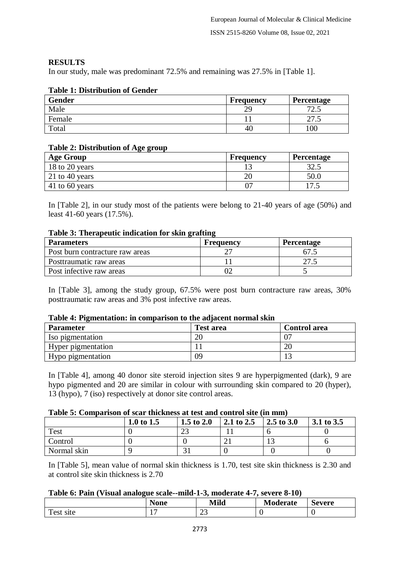## **RESULTS**

In our study, male was predominant 72.5% and remaining was 27.5% in [Table 1].

# **Gender Frequency Percentage** Male 29 72.5 Female 27.5 Total 100

## **Table 1: Distribution of Gender**

## **Table 2: Distribution of Age group**

| <b>Age Group</b> | Frequency | <b>Percentage</b> |
|------------------|-----------|-------------------|
| 18 to 20 years   |           | 32.5              |
| 21 to 40 years   | 20        | 50.0              |
| 41 to 60 years   |           | $\cdot\cdot$      |

In [Table 2], in our study most of the patients were belong to 21-40 years of age (50%) and least 41-60 years (17.5%).

#### **Table 3: Therapeutic indication for skin grafting**

| <b>Parameters</b>               | Frequency | <b>Percentage</b> |
|---------------------------------|-----------|-------------------|
| Post burn contracture raw areas |           | 67.5              |
| Posttraumatic raw areas         |           |                   |
| Post infective raw areas        |           |                   |

In [Table 3], among the study group, 67.5% were post burn contracture raw areas, 30% posttraumatic raw areas and 3% post infective raw areas.

#### **Table 4: Pigmentation: in comparison to the adjacent normal skin**

| -<br><b>Parameter</b> | <b>Test area</b> | <b>Control area</b> |
|-----------------------|------------------|---------------------|
| Iso pigmentation      |                  |                     |
| Hyper pigmentation    |                  | $\mathcal{L}$<br>ΖU |
| Hypo pigmentation     | 09               |                     |

In [Table 4], among 40 donor site steroid injection sites 9 are hyperpigmented (dark), 9 are hypo pigmented and 20 are similar in colour with surrounding skin compared to 20 (hyper), 13 (hypo), 7 (iso) respectively at donor site control areas.

#### **Table 5: Comparison of scar thickness at test and control site (in mm)**

|             | 1.0 to $1.5$ | 1.5 to $2.0$ | 2.1 to 2.5 | 2.5 to 3.0 | 3.1 to 3.5 |
|-------------|--------------|--------------|------------|------------|------------|
| <b>Test</b> |              |              |            |            |            |
| Control     |              |              | ◢          |            |            |
| Normal skin |              |              |            |            |            |

In [Table 5], mean value of normal skin thickness is 1.70, test site skin thickness is 2.30 and at control site skin thickness is 2.70

#### **Table 6: Pain (Visual analogue scale--mild-1-3, moderate 4-7, severe 8-10)**

|                                             | محما<br>WU | . Æ91. 7<br>_______ | erate | -<br>`avara<br>u. |
|---------------------------------------------|------------|---------------------|-------|-------------------|
| $\mathbf{r}$<br>$\alpha$ $\alpha$ 1<br>sıte | -          | $\sim$<br>رے        |       |                   |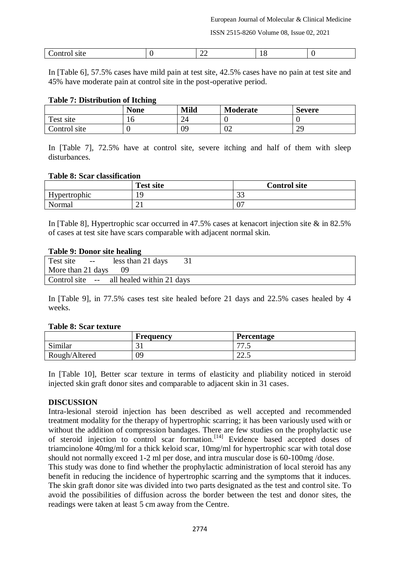ISSN 2515-8260 Volume 08, Issue 02, 2021

| . .<br>$\delta$ itt<br>-----<br>. | -- | . . |  |
|-----------------------------------|----|-----|--|

In [Table 6], 57.5% cases have mild pain at test site, 42.5% cases have no pain at test site and 45% have moderate pain at control site in the post-operative period.

#### **Table 7: Distribution of Itching**

|              | $\sim$<br><b>None</b> | <b>Mild</b> | Moderate | Severe    |
|--------------|-----------------------|-------------|----------|-----------|
| Test site    | ιv                    | ∠−          |          |           |
| Control site |                       | 09          | 02       | σc<br>ر ب |

In [Table 7], 72.5% have at control site, severe itching and half of them with sleep disturbances.

#### **Table 8: Scar classification**

|              | <b>Test site</b> | <b>Control site</b> |
|--------------|------------------|---------------------|
| Hypertrophic | ١O               | $\cap$<br>ر ر       |
| Normal       | ∠⊥               | U.                  |

In [Table 8], Hypertrophic scar occurred in 47.5% cases at kenacort injection site & in 82.5% of cases at test site have scars comparable with adjacent normal skin.

#### **Table 9: Donor site healing**

| Test site --                          | less than 21 days                         |  |
|---------------------------------------|-------------------------------------------|--|
| More than $21 \text{ days} \qquad 09$ |                                           |  |
|                                       | Control site -- all healed within 21 days |  |

In [Table 9], in 77.5% cases test site healed before 21 days and 22.5% cases healed by 4 weeks.

#### **Table 8: Scar texture**

|               | Frequency | <b>Percentage</b>     |
|---------------|-----------|-----------------------|
| Similar       | ◡▴        | $\overline{a}$<br>ن ر |
| Rough/Altered | 09        | $\cap$<br>ر . ے       |

In [Table 10], Better scar texture in terms of elasticity and pliability noticed in steroid injected skin graft donor sites and comparable to adjacent skin in 31 cases.

#### **DISCUSSION**

Intra-lesional steroid injection has been described as well accepted and recommended treatment modality for the therapy of hypertrophic scarring; it has been variously used with or without the addition of compression bandages. There are few studies on the prophylactic use of steroid injection to control scar formation.[14] Evidence based accepted doses of triamcinolone 40mg/ml for a thick keloid scar, 10mg/ml for hypertrophic scar with total dose should not normally exceed 1-2 ml per dose, and intra muscular dose is 60-100mg /dose.

This study was done to find whether the prophylactic administration of local steroid has any benefit in reducing the incidence of hypertrophic scarring and the symptoms that it induces. The skin graft donor site was divided into two parts designated as the test and control site. To avoid the possibilities of diffusion across the border between the test and donor sites, the readings were taken at least 5 cm away from the Centre.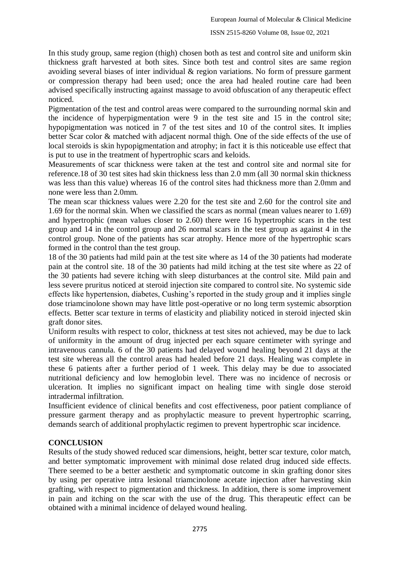In this study group, same region (thigh) chosen both as test and control site and uniform skin thickness graft harvested at both sites. Since both test and control sites are same region avoiding several biases of inter individual & region variations. No form of pressure garment or compression therapy had been used; once the area had healed routine care had been advised specifically instructing against massage to avoid obfuscation of any therapeutic effect noticed.

Pigmentation of the test and control areas were compared to the surrounding normal skin and the incidence of hyperpigmentation were 9 in the test site and 15 in the control site; hypopigmentation was noticed in 7 of the test sites and 10 of the control sites. It implies better Scar color & matched with adjacent normal thigh. One of the side effects of the use of local steroids is skin hypopigmentation and atrophy; in fact it is this noticeable use effect that is put to use in the treatment of hypertrophic scars and keloids.

Measurements of scar thickness were taken at the test and control site and normal site for reference.18 of 30 test sites had skin thickness less than 2.0 mm (all 30 normal skin thickness was less than this value) whereas 16 of the control sites had thickness more than 2.0mm and none were less than 2.0mm.

The mean scar thickness values were 2.20 for the test site and 2.60 for the control site and 1.69 for the normal skin. When we classified the scars as normal (mean values nearer to 1.69) and hypertrophic (mean values closer to 2.60) there were 16 hypertrophic scars in the test group and 14 in the control group and 26 normal scars in the test group as against 4 in the control group. None of the patients has scar atrophy. Hence more of the hypertrophic scars formed in the control than the test group.

18 of the 30 patients had mild pain at the test site where as 14 of the 30 patients had moderate pain at the control site. 18 of the 30 patients had mild itching at the test site where as 22 of the 30 patients had severe itching with sleep disturbances at the control site. Mild pain and less severe pruritus noticed at steroid injection site compared to control site. No systemic side effects like hypertension, diabetes, Cushing's reported in the study group and it implies single dose triamcinolone shown may have little post-operative or no long term systemic absorption effects. Better scar texture in terms of elasticity and pliability noticed in steroid injected skin graft donor sites.

Uniform results with respect to color, thickness at test sites not achieved, may be due to lack of uniformity in the amount of drug injected per each square centimeter with syringe and intravenous cannula. 6 of the 30 patients had delayed wound healing beyond 21 days at the test site whereas all the control areas had healed before 21 days. Healing was complete in these 6 patients after a further period of 1 week. This delay may be due to associated nutritional deficiency and low hemoglobin level. There was no incidence of necrosis or ulceration. It implies no significant impact on healing time with single dose steroid intradermal infiltration.

Insufficient evidence of clinical benefits and cost effectiveness, poor patient compliance of pressure garment therapy and as prophylactic measure to prevent hypertrophic scarring, demands search of additional prophylactic regimen to prevent hypertrophic scar incidence.

# **CONCLUSION**

Results of the study showed reduced scar dimensions, height, better scar texture, color match, and better symptomatic improvement with minimal dose related drug induced side effects. There seemed to be a better aesthetic and symptomatic outcome in skin grafting donor sites by using per operative intra lesional triamcinolone acetate injection after harvesting skin grafting, with respect to pigmentation and thickness. In addition, there is some improvement in pain and itching on the scar with the use of the drug. This therapeutic effect can be obtained with a minimal incidence of delayed wound healing.